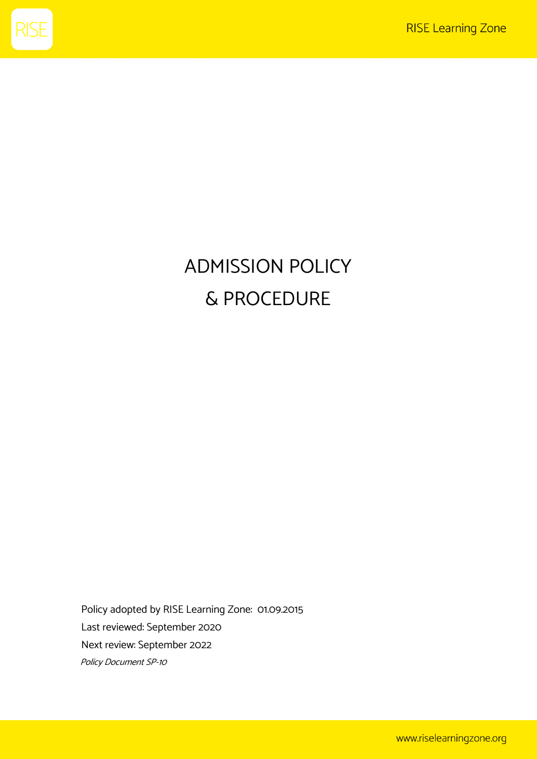

## ADMISSION POLICY & PROCEDURE

Policy adopted by RISE Learning Zone: 01.09.2015 Last reviewed: September 2020 Next review: September 2022 Policy Document SP-10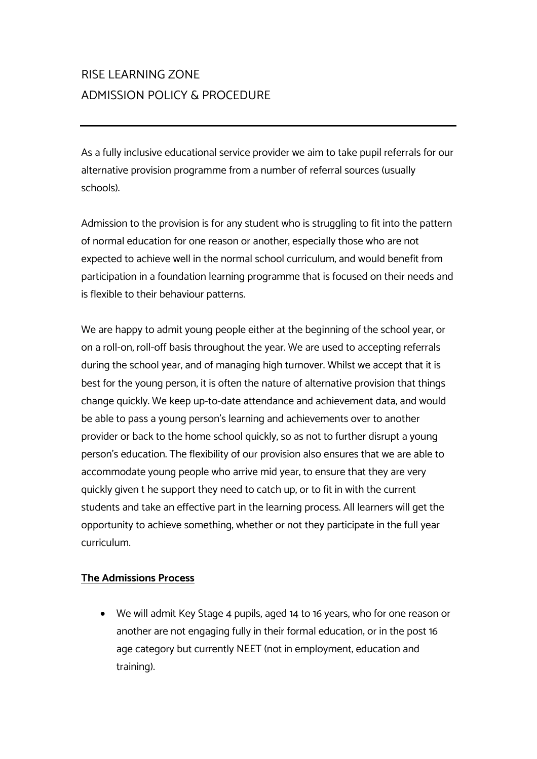## RISE LEARNING ZONE ADMISSION POLICY & PROCEDURE

As a fully inclusive educational service provider we aim to take pupil referrals for our alternative provision programme from a number of referral sources (usually schools).

Admission to the provision is for any student who is struggling to fit into the pattern of normal education for one reason or another, especially those who are not expected to achieve well in the normal school curriculum, and would benefit from participation in a foundation learning programme that is focused on their needs and is flexible to their behaviour patterns.

We are happy to admit young people either at the beginning of the school year, or on a roll-on, roll-off basis throughout the year. We are used to accepting referrals during the school year, and of managing high turnover. Whilst we accept that it is best for the young person, it is often the nature of alternative provision that things change quickly. We keep up-to-date attendance and achievement data, and would be able to pass a young person's learning and achievements over to another provider or back to the home school quickly, so as not to further disrupt a young person's education. The flexibility of our provision also ensures that we are able to accommodate young people who arrive mid year, to ensure that they are very quickly given t he support they need to catch up, or to fit in with the current students and take an effective part in the learning process. All learners will get the opportunity to achieve something, whether or not they participate in the full year curriculum.

## **The Admissions Process**

• We will admit Key Stage 4 pupils, aged 14 to 16 years, who for one reason or another are not engaging fully in their formal education; or in the post 16 age category but currently NEET (not in employment, education and training).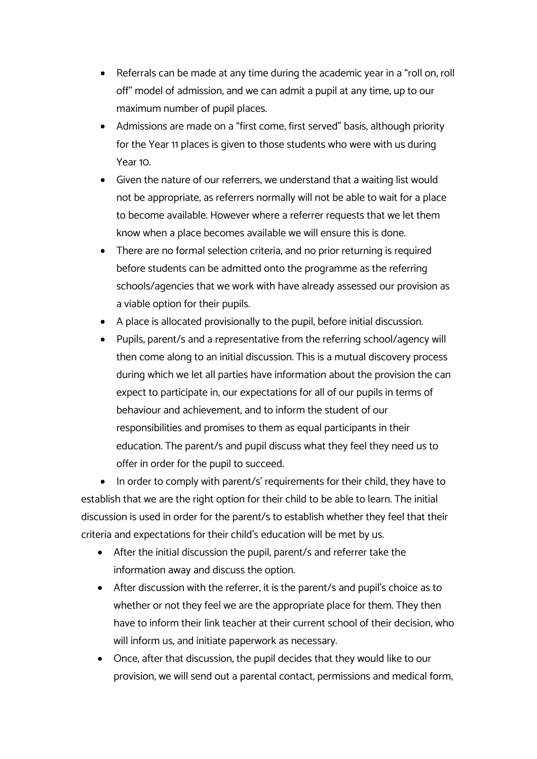- Referrals can be made at any time during the academic year in a "roll on, roll off" model of admission, and we can admit a pupil at any time, up to our maximum number of pupil places.
- Admissions are made on a "first come, first served" basis, although priority for the Year 11 places is given to those students who were with us during Year 10.
- Given the nature of our referrers, we understand that a waiting list would not be appropriate, as referrers normally will not be able to wait for a place to become available. However where a referrer requests that we let them know when a place becomes available we will ensure this is done.
- There are no formal selection criteria, and no prior returning is required before students can be admitted onto the programme as the referring schools/agencies that we work with have already assessed our provision as a viable option for their pupils.
- A place is allocated provisionally to the pupil, before initial discussion.
- Pupils, parent/s and a representative from the referring school/agency will then come along to an initial discussion. This is a mutual discovery process during which we let all parties have information about the provision the can expect to participate in, our expectations for all of our pupils in terms of behaviour and achievement, and to inform the student of our responsibilities and promises to them as equal participants in their education. The parent/s and pupil discuss what they feel they need us to offer in order for the pupil to succeed.

• In order to comply with parent/s' requirements for their child, they have to establish that we are the right option for their child to be able to learn. The initial discussion is used in order for the parent/s to establish whether they feel that their criteria and expectations for their child's education will be met by us.

- After the initial discussion the pupil, parent/s and referrer take the information away and discuss the option.
- After discussion with the referrer, it is the parent/s and pupil's choice as to whether or not they feel we are the appropriate place for them. They then have to inform their link teacher at their current school of their decision, who will inform us, and initiate paperwork as necessary.
- Once, after that discussion, the pupil decides that they would like to our provision, we will send out a parental contact, permissions and medical form,